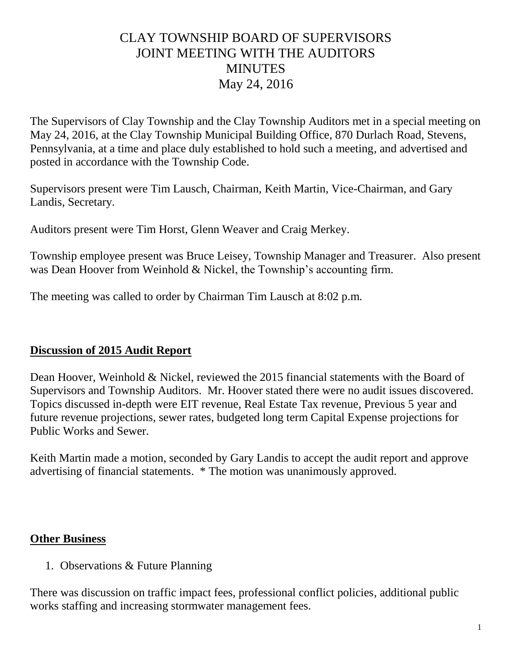## CLAY TOWNSHIP BOARD OF SUPERVISORS JOINT MEETING WITH THE AUDITORS **MINUTES** May 24, 2016

The Supervisors of Clay Township and the Clay Township Auditors met in a special meeting on May 24, 2016, at the Clay Township Municipal Building Office, 870 Durlach Road, Stevens, Pennsylvania, at a time and place duly established to hold such a meeting, and advertised and posted in accordance with the Township Code.

Supervisors present were Tim Lausch, Chairman, Keith Martin, Vice-Chairman, and Gary Landis, Secretary.

Auditors present were Tim Horst, Glenn Weaver and Craig Merkey.

Township employee present was Bruce Leisey, Township Manager and Treasurer. Also present was Dean Hoover from Weinhold & Nickel, the Township's accounting firm.

The meeting was called to order by Chairman Tim Lausch at 8:02 p.m.

## **Discussion of 2015 Audit Report**

Dean Hoover, Weinhold & Nickel, reviewed the 2015 financial statements with the Board of Supervisors and Township Auditors. Mr. Hoover stated there were no audit issues discovered. Topics discussed in-depth were EIT revenue, Real Estate Tax revenue, Previous 5 year and future revenue projections, sewer rates, budgeted long term Capital Expense projections for Public Works and Sewer.

Keith Martin made a motion, seconded by Gary Landis to accept the audit report and approve advertising of financial statements. \* The motion was unanimously approved.

## **Other Business**

1. Observations & Future Planning

There was discussion on traffic impact fees, professional conflict policies, additional public works staffing and increasing stormwater management fees.